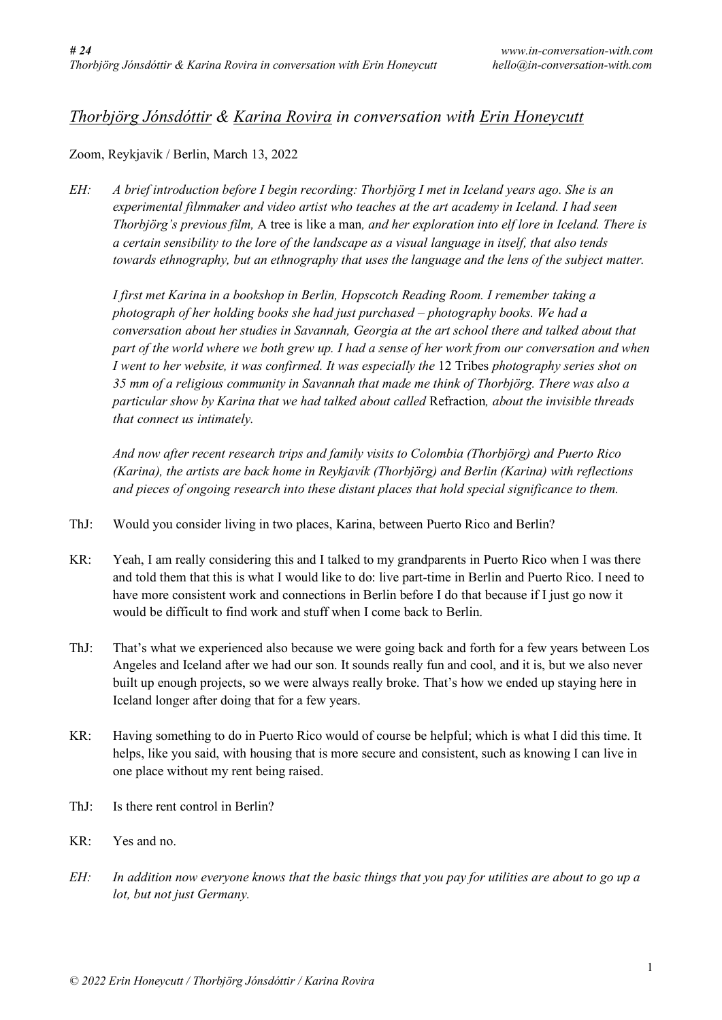## *Thorbjörg Jónsdóttir & Karina Rovira in conversation with Erin Honeycutt*

Zoom, Reykjavik / Berlin, March 13, 2022

*EH: A brief introduction before I begin recording: Thorbjörg I met in Iceland years ago. She is an experimental filmmaker and video artist who teaches at the art academy in Iceland. I had seen Thorbjörg's previous film,* A tree is like a man*, and her exploration into elf lore in Iceland. There is a certain sensibility to the lore of the landscape as a visual language in itself, that also tends towards ethnography, but an ethnography that uses the language and the lens of the subject matter.* 

*I first met Karina in a bookshop in Berlin, Hopscotch Reading Room. I remember taking a photograph of her holding books she had just purchased – photography books. We had a conversation about her studies in Savannah, Georgia at the art school there and talked about that part of the world where we both grew up. I had a sense of her work from our conversation and when I went to her website, it was confirmed. It was especially the* 12 Tribes *photography series shot on 35 mm of a religious community in Savannah that made me think of Thorbjörg. There was also a particular show by Karina that we had talked about called* Refraction*, about the invisible threads that connect us intimately.* 

*And now after recent research trips and family visits to Colombia (Thorbjörg) and Puerto Rico (Karina), the artists are back home in Reykjavík (Thorbjörg) and Berlin (Karina) with reflections and pieces of ongoing research into these distant places that hold special significance to them.* 

- ThJ: Would you consider living in two places, Karina, between Puerto Rico and Berlin?
- KR: Yeah, I am really considering this and I talked to my grandparents in Puerto Rico when I was there and told them that this is what I would like to do: live part-time in Berlin and Puerto Rico. I need to have more consistent work and connections in Berlin before I do that because if I just go now it would be difficult to find work and stuff when I come back to Berlin.
- ThJ: That's what we experienced also because we were going back and forth for a few years between Los Angeles and Iceland after we had our son. It sounds really fun and cool, and it is, but we also never built up enough projects, so we were always really broke. That's how we ended up staying here in Iceland longer after doing that for a few years.
- KR: Having something to do in Puerto Rico would of course be helpful; which is what I did this time. It helps, like you said, with housing that is more secure and consistent, such as knowing I can live in one place without my rent being raised.
- ThJ: Is there rent control in Berlin?
- KR: Yes and no.
- *EH: In addition now everyone knows that the basic things that you pay for utilities are about to go up a lot, but not just Germany.*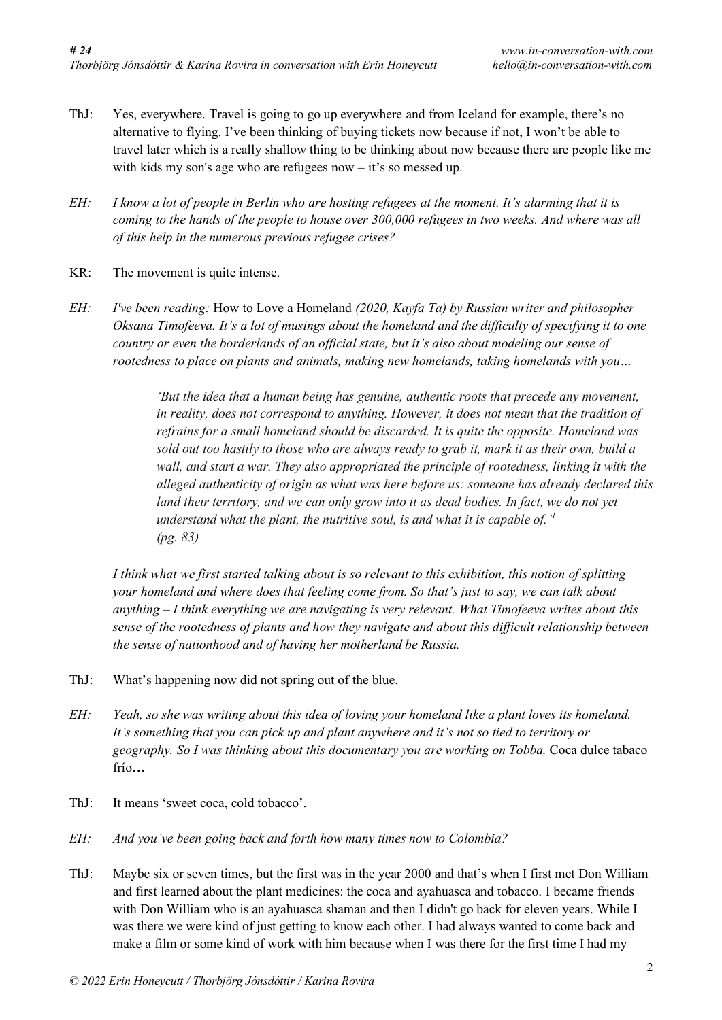- ThJ: Yes, everywhere. Travel is going to go up everywhere and from Iceland for example, there's no alternative to flying. I've been thinking of buying tickets now because if not, I won't be able to travel later which is a really shallow thing to be thinking about now because there are people like me with kids my son's age who are refugees now – it's so messed up.
- *EH: I know a lot of people in Berlin who are hosting refugees at the moment. It's alarming that it is coming to the hands of the people to house over 300,000 refugees in two weeks. And where was all of this help in the numerous previous refugee crises?*
- KR: The movement is quite intense.
- *EH: I've been reading:* How to Love a Homeland *(2020, Kayfa Ta) by Russian writer and philosopher Oksana Timofeeva. It's a lot of musings about the homeland and the difficulty of specifying it to one country or even the borderlands of an official state, but it's also about modeling our sense of rootedness to place on plants and animals, making new homelands, taking homelands with you…*

*'But the idea that a human being has genuine, authentic roots that precede any movement, in reality, does not correspond to anything. However, it does not mean that the tradition of refrains for a small homeland should be discarded. It is quite the opposite. Homeland was* sold out too hastily to those who are always ready to grab it, mark it as their own, build a *wall, and start a war. They also appropriated the principle of rootedness, linking it with the alleged authenticity of origin as what was here before us: someone has already declared this land their territory, and we can only grow into it as dead bodies. In fact, we do not yet understand what the plant, the nutritive soul, is and what it is capable of.' 1 (pg. 83)*

I think what we first started talking about is so relevant to this exhibition, this notion of splitting *your homeland and where does that feeling come from. So that's just to say, we can talk about anything – I think everything we are navigating is very relevant. What Timofeeva writes about this sense of the rootedness of plants and how they navigate and about this difficult relationship between the sense of nationhood and of having her motherland be Russia.*

- ThJ: What's happening now did not spring out of the blue.
- EH: Yeah, so she was writing about this idea of loving your homeland like a plant loves its homeland. *It's something that you can pick up and plant anywhere and it's not so tied to territory or geography. So I was thinking about this documentary you are working on Tobba,* Coca dulce tabaco frío*…*
- ThJ: It means 'sweet coca, cold tobacco'.
- *EH: And you've been going back and forth how many times now to Colombia?*
- ThJ: Maybe six or seven times, but the first was in the year 2000 and that's when I first met Don William and first learned about the plant medicines: the coca and ayahuasca and tobacco. I became friends with Don William who is an ayahuasca shaman and then I didn't go back for eleven years. While I was there we were kind of just getting to know each other. I had always wanted to come back and make a film or some kind of work with him because when I was there for the first time I had my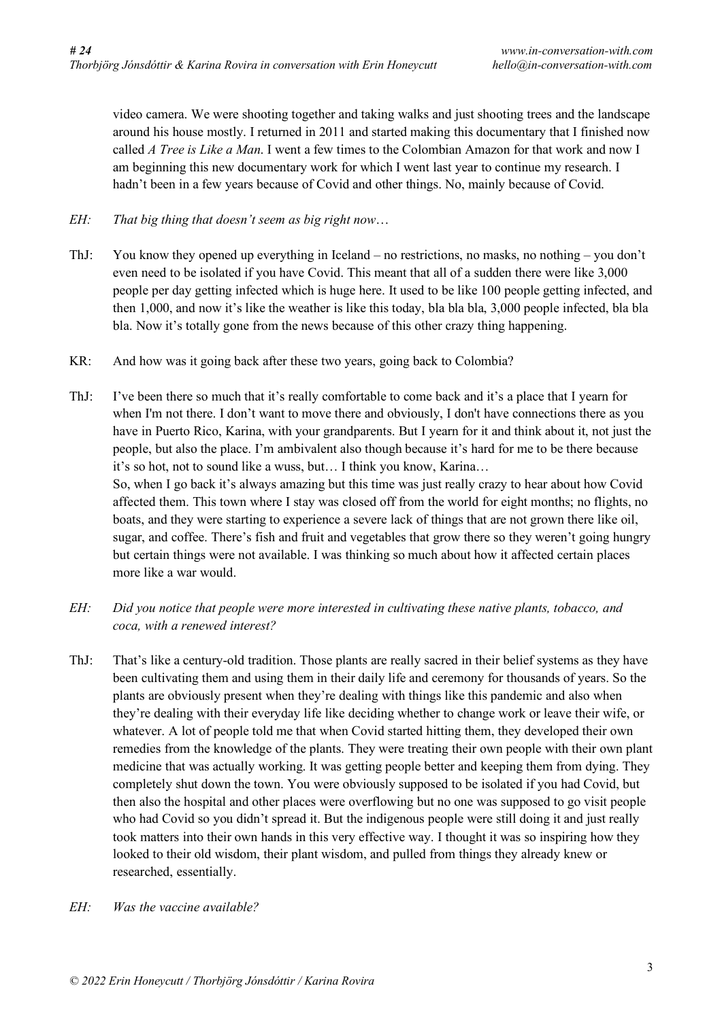video camera. We were shooting together and taking walks and just shooting trees and the landscape around his house mostly. I returned in 2011 and started making this documentary that I finished now called *A Tree is Like a Man*. I went a few times to the Colombian Amazon for that work and now I am beginning this new documentary work for which I went last year to continue my research. I hadn't been in a few years because of Covid and other things. No, mainly because of Covid.

- *EH: That big thing that doesn't seem as big right now*…
- ThJ: You know they opened up everything in Iceland no restrictions, no masks, no nothing you don't even need to be isolated if you have Covid. This meant that all of a sudden there were like 3,000 people per day getting infected which is huge here. It used to be like 100 people getting infected, and then 1,000, and now it's like the weather is like this today, bla bla bla, 3,000 people infected, bla bla bla. Now it's totally gone from the news because of this other crazy thing happening.
- KR: And how was it going back after these two years, going back to Colombia?
- ThJ: I've been there so much that it's really comfortable to come back and it's a place that I yearn for when I'm not there. I don't want to move there and obviously, I don't have connections there as you have in Puerto Rico, Karina, with your grandparents. But I yearn for it and think about it, not just the people, but also the place. I'm ambivalent also though because it's hard for me to be there because it's so hot, not to sound like a wuss, but… I think you know, Karina… So, when I go back it's always amazing but this time was just really crazy to hear about how Covid affected them. This town where I stay was closed off from the world for eight months; no flights, no boats, and they were starting to experience a severe lack of things that are not grown there like oil, sugar, and coffee. There's fish and fruit and vegetables that grow there so they weren't going hungry but certain things were not available. I was thinking so much about how it affected certain places more like a war would.
- *EH: Did you notice that people were more interested in cultivating these native plants, tobacco, and coca, with a renewed interest?*
- ThJ: That's like a century-old tradition. Those plants are really sacred in their belief systems as they have been cultivating them and using them in their daily life and ceremony for thousands of years. So the plants are obviously present when they're dealing with things like this pandemic and also when they're dealing with their everyday life like deciding whether to change work or leave their wife, or whatever. A lot of people told me that when Covid started hitting them, they developed their own remedies from the knowledge of the plants. They were treating their own people with their own plant medicine that was actually working. It was getting people better and keeping them from dying. They completely shut down the town. You were obviously supposed to be isolated if you had Covid, but then also the hospital and other places were overflowing but no one was supposed to go visit people who had Covid so you didn't spread it. But the indigenous people were still doing it and just really took matters into their own hands in this very effective way. I thought it was so inspiring how they looked to their old wisdom, their plant wisdom, and pulled from things they already knew or researched, essentially.
- *EH: Was the vaccine available?*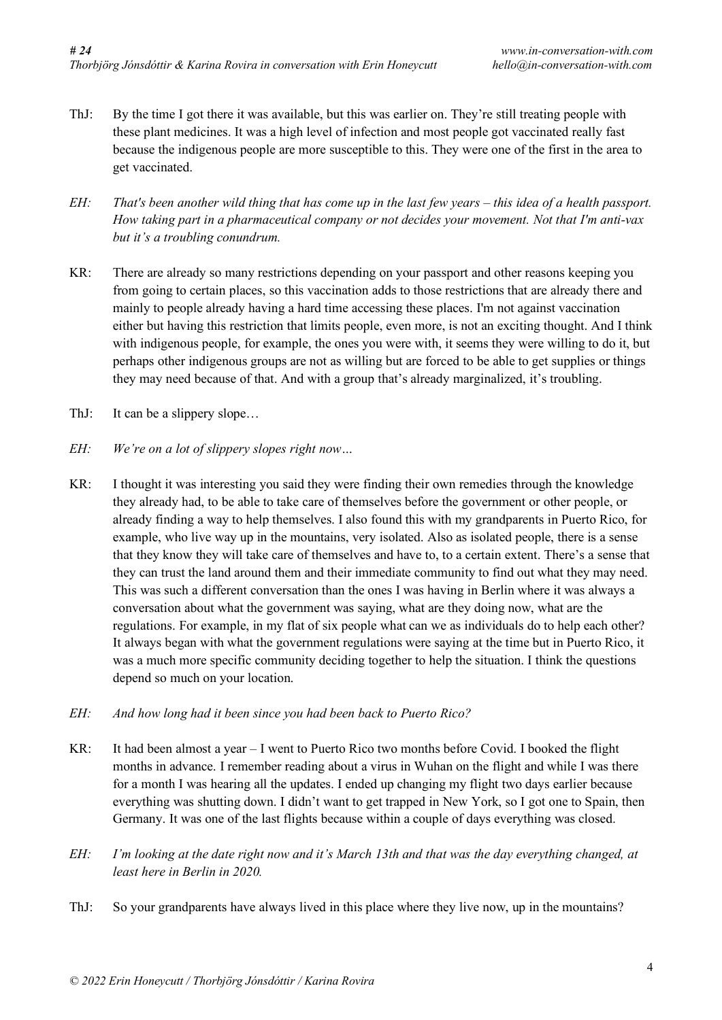- ThJ: By the time I got there it was available, but this was earlier on. They're still treating people with these plant medicines. It was a high level of infection and most people got vaccinated really fast because the indigenous people are more susceptible to this. They were one of the first in the area to get vaccinated.
- $EH$ : That's been another wild thing that has come up in the last few years this idea of a health passport. *How taking part in a pharmaceutical company or not decides your movement. Not that I'm anti-vax but it's a troubling conundrum.*
- KR: There are already so many restrictions depending on your passport and other reasons keeping you from going to certain places, so this vaccination adds to those restrictions that are already there and mainly to people already having a hard time accessing these places. I'm not against vaccination either but having this restriction that limits people, even more, is not an exciting thought. And I think with indigenous people, for example, the ones you were with, it seems they were willing to do it, but perhaps other indigenous groups are not as willing but are forced to be able to get supplies or things they may need because of that. And with a group that's already marginalized, it's troubling.
- ThJ: It can be a slippery slope...
- *EH: We're on a lot of slippery slopes right now…*
- KR: I thought it was interesting you said they were finding their own remedies through the knowledge they already had, to be able to take care of themselves before the government or other people, or already finding a way to help themselves. I also found this with my grandparents in Puerto Rico, for example, who live way up in the mountains, very isolated. Also as isolated people, there is a sense that they know they will take care of themselves and have to, to a certain extent. There's a sense that they can trust the land around them and their immediate community to find out what they may need. This was such a different conversation than the ones I was having in Berlin where it was always a conversation about what the government was saying, what are they doing now, what are the regulations. For example, in my flat of six people what can we as individuals do to help each other? It always began with what the government regulations were saying at the time but in Puerto Rico, it was a much more specific community deciding together to help the situation. I think the questions depend so much on your location.
- *EH: And how long had it been since you had been back to Puerto Rico?*
- KR: It had been almost a year I went to Puerto Rico two months before Covid. I booked the flight months in advance. I remember reading about a virus in Wuhan on the flight and while I was there for a month I was hearing all the updates. I ended up changing my flight two days earlier because everything was shutting down. I didn't want to get trapped in New York, so I got one to Spain, then Germany. It was one of the last flights because within a couple of days everything was closed.
- EH: I'm looking at the date right now and it's March 13th and that was the day everything changed, at *least here in Berlin in 2020.*
- ThJ: So your grandparents have always lived in this place where they live now, up in the mountains?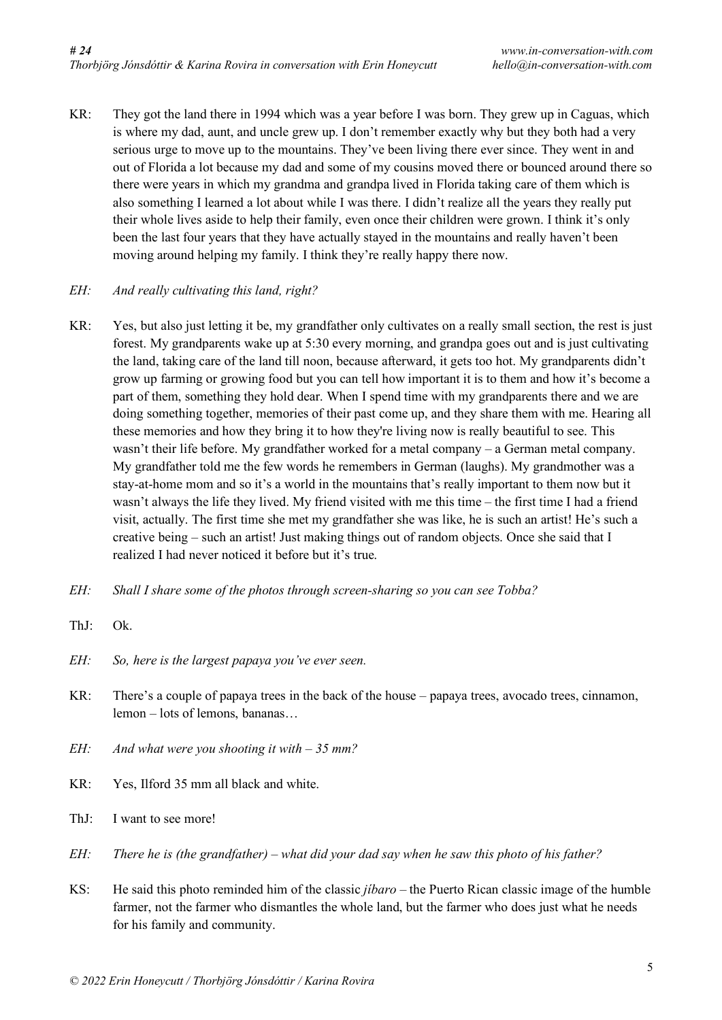KR: They got the land there in 1994 which was a year before I was born. They grew up in Caguas, which is where my dad, aunt, and uncle grew up. I don't remember exactly why but they both had a very serious urge to move up to the mountains. They've been living there ever since. They went in and out of Florida a lot because my dad and some of my cousins moved there or bounced around there so there were years in which my grandma and grandpa lived in Florida taking care of them which is also something I learned a lot about while I was there. I didn't realize all the years they really put their whole lives aside to help their family, even once their children were grown. I think it's only been the last four years that they have actually stayed in the mountains and really haven't been moving around helping my family. I think they're really happy there now.

## *EH: And really cultivating this land, right?*

- KR: Yes, but also just letting it be, my grandfather only cultivates on a really small section, the rest is just forest. My grandparents wake up at 5:30 every morning, and grandpa goes out and is just cultivating the land, taking care of the land till noon, because afterward, it gets too hot. My grandparents didn't grow up farming or growing food but you can tell how important it is to them and how it's become a part of them, something they hold dear. When I spend time with my grandparents there and we are doing something together, memories of their past come up, and they share them with me. Hearing all these memories and how they bring it to how they're living now is really beautiful to see. This wasn't their life before. My grandfather worked for a metal company – a German metal company. My grandfather told me the few words he remembers in German (laughs). My grandmother was a stay-at-home mom and so it's a world in the mountains that's really important to them now but it wasn't always the life they lived. My friend visited with me this time – the first time I had a friend visit, actually. The first time she met my grandfather she was like, he is such an artist! He's such a creative being – such an artist! Just making things out of random objects. Once she said that I realized I had never noticed it before but it's true.
- *EH: Shall I share some of the photos through screen-sharing so you can see Tobba?*
- ThJ: Ok.
- *EH: So, here is the largest papaya you've ever seen.*
- KR: There's a couple of papaya trees in the back of the house papaya trees, avocado trees, cinnamon, lemon – lots of lemons, bananas…
- *EH: And what were you shooting it with – 35 mm?*
- KR: Yes, Ilford 35 mm all black and white.
- ThJ: I want to see more!
- $EH$ : There he is (the grandfather) what did your dad say when he saw this photo of his father?
- KS: He said this photo reminded him of the classic *jíbaro* the Puerto Rican classic image of the humble farmer, not the farmer who dismantles the whole land, but the farmer who does just what he needs for his family and community.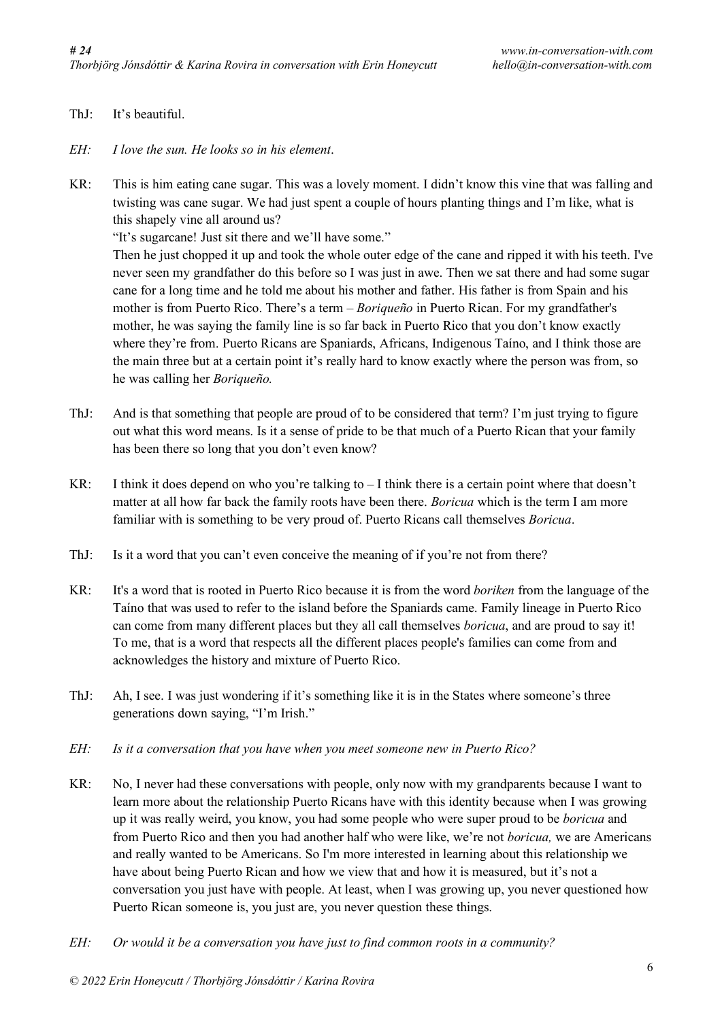- ThJ: It's beautiful.
- *EH: I love the sun. He looks so in his element*.
- KR: This is him eating cane sugar. This was a lovely moment. I didn't know this vine that was falling and twisting was cane sugar. We had just spent a couple of hours planting things and I'm like, what is this shapely vine all around us?

"It's sugarcane! Just sit there and we'll have some."

Then he just chopped it up and took the whole outer edge of the cane and ripped it with his teeth. I've never seen my grandfather do this before so I was just in awe. Then we sat there and had some sugar cane for a long time and he told me about his mother and father. His father is from Spain and his mother is from Puerto Rico. There's a term – *Boriqueño* in Puerto Rican. For my grandfather's mother, he was saying the family line is so far back in Puerto Rico that you don't know exactly where they're from. Puerto Ricans are Spaniards, Africans, Indigenous Taíno, and I think those are the main three but at a certain point it's really hard to know exactly where the person was from, so he was calling her *Boriqueño.*

- ThJ: And is that something that people are proud of to be considered that term? I'm just trying to figure out what this word means. Is it a sense of pride to be that much of a Puerto Rican that your family has been there so long that you don't even know?
- KR: I think it does depend on who you're talking to  $-I$  think there is a certain point where that doesn't matter at all how far back the family roots have been there. *Boricua* which is the term I am more familiar with is something to be very proud of. Puerto Ricans call themselves *Boricua*.
- ThJ: Is it a word that you can't even conceive the meaning of if you're not from there?
- KR: It's a word that is rooted in Puerto Rico because it is from the word *boriken* from the language of the Taíno that was used to refer to the island before the Spaniards came. Family lineage in Puerto Rico can come from many different places but they all call themselves *boricua*, and are proud to say it! To me, that is a word that respects all the different places people's families can come from and acknowledges the history and mixture of Puerto Rico.
- ThJ: Ah, I see. I was just wondering if it's something like it is in the States where someone's three generations down saying, "I'm Irish."
- *EH: Is it a conversation that you have when you meet someone new in Puerto Rico?*
- KR: No, I never had these conversations with people, only now with my grandparents because I want to learn more about the relationship Puerto Ricans have with this identity because when I was growing up it was really weird, you know, you had some people who were super proud to be *boricua* and from Puerto Rico and then you had another half who were like, we're not *boricua,* we are Americans and really wanted to be Americans. So I'm more interested in learning about this relationship we have about being Puerto Rican and how we view that and how it is measured, but it's not a conversation you just have with people. At least, when I was growing up, you never questioned how Puerto Rican someone is, you just are, you never question these things.
- *EH: Or would it be a conversation you have just to find common roots in a community?*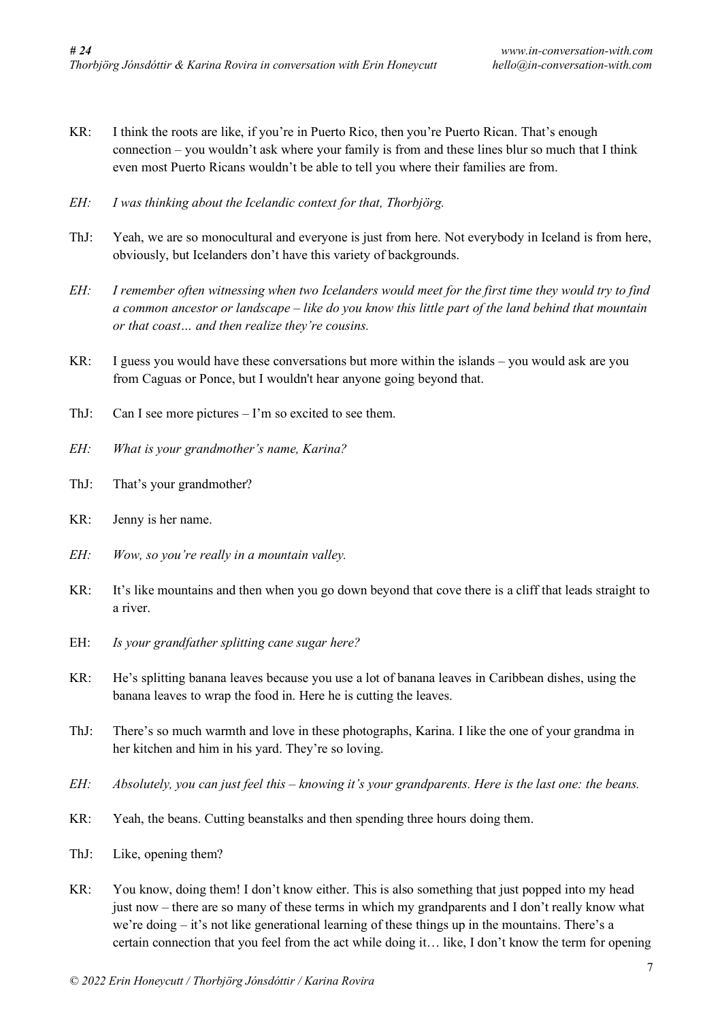- KR: I think the roots are like, if you're in Puerto Rico, then you're Puerto Rican. That's enough connection – you wouldn't ask where your family is from and these lines blur so much that I think even most Puerto Ricans wouldn't be able to tell you where their families are from.
- *EH: I was thinking about the Icelandic context for that, Thorbjörg.*
- ThJ: Yeah, we are so monocultural and everyone is just from here. Not everybody in Iceland is from here, obviously, but Icelanders don't have this variety of backgrounds.
- EH: I remember often witnessing when two Icelanders would meet for the first time they would try to find a common ancestor or landscape – like do you know this little part of the land behind that mountain *or that coast… and then realize they're cousins.*
- KR: I guess you would have these conversations but more within the islands you would ask are you from Caguas or Ponce, but I wouldn't hear anyone going beyond that.
- ThJ: Can I see more pictures I'm so excited to see them.
- *EH: What is your grandmother's name, Karina?*
- ThJ: That's your grandmother?
- KR: Jenny is her name.
- *EH: Wow, so you're really in a mountain valley.*
- KR: It's like mountains and then when you go down beyond that cove there is a cliff that leads straight to a river.
- EH: *Is your grandfather splitting cane sugar here?*
- KR: He's splitting banana leaves because you use a lot of banana leaves in Caribbean dishes, using the banana leaves to wrap the food in. Here he is cutting the leaves.
- ThJ: There's so much warmth and love in these photographs, Karina. I like the one of your grandma in her kitchen and him in his yard. They're so loving.
- EH: Absolutely, you can just feel this knowing it's your grandparents. Here is the last one: the beans.
- KR: Yeah, the beans. Cutting beanstalks and then spending three hours doing them.
- ThJ: Like, opening them?
- KR: You know, doing them! I don't know either. This is also something that just popped into my head just now – there are so many of these terms in which my grandparents and I don't really know what we're doing – it's not like generational learning of these things up in the mountains. There's a certain connection that you feel from the act while doing it… like, I don't know the term for opening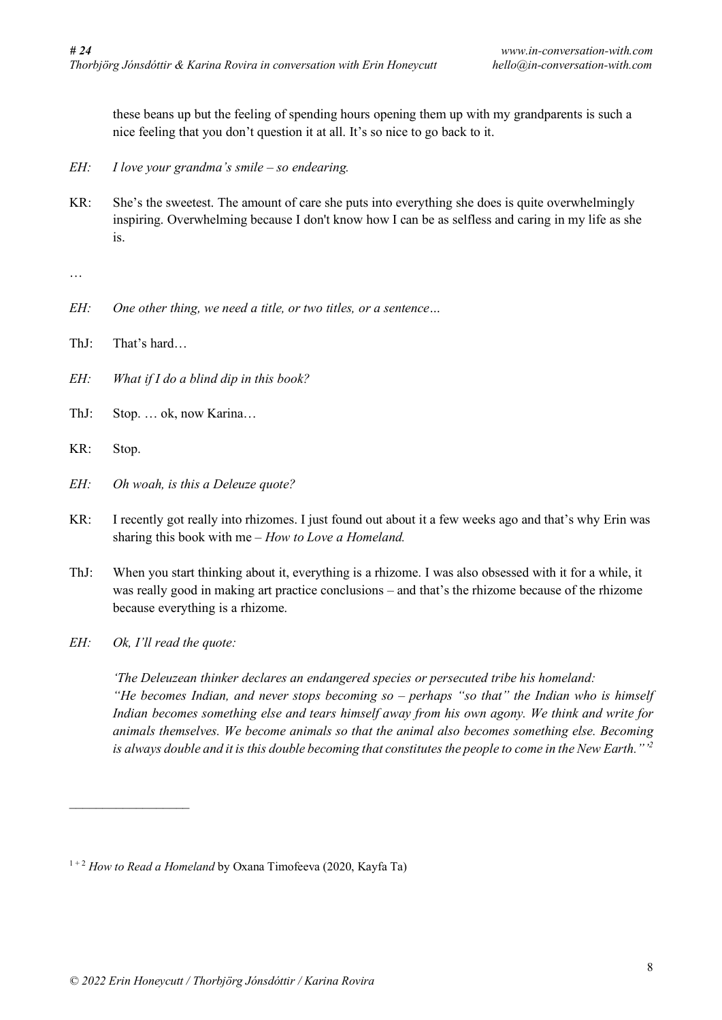these beans up but the feeling of spending hours opening them up with my grandparents is such a nice feeling that you don't question it at all. It's so nice to go back to it.

- *EH: I love your grandma's smile – so endearing.*
- KR: She's the sweetest. The amount of care she puts into everything she does is quite overwhelmingly inspiring. Overwhelming because I don't know how I can be as selfless and caring in my life as she is.

…

- *EH: One other thing, we need a title, or two titles, or a sentence…*
- ThJ: That's hard…
- *EH: What if I do a blind dip in this book?*
- ThJ: Stop. … ok, now Karina…
- KR: Stop.
- *EH: Oh woah, is this a Deleuze quote?*
- KR: I recently got really into rhizomes. I just found out about it a few weeks ago and that's why Erin was sharing this book with me – *How to Love a Homeland.*
- ThJ: When you start thinking about it, everything is a rhizome. I was also obsessed with it for a while, it was really good in making art practice conclusions – and that's the rhizome because of the rhizome because everything is a rhizome.
- *EH: Ok, I'll read the quote:*

 $\mathcal{L}_\text{max}$ 

*'The Deleuzean thinker declares an endangered species or persecuted tribe his homeland: "He becomes Indian, and never stops becoming so – perhaps "so that" the Indian who is himself Indian becomes something else and tears himself away from his own agony. We think and write for animals themselves. We become animals so that the animal also becomes something else. Becoming* is always double and it is this double becoming that constitutes the people to come in the New Earth."  $^{12}$ 

<sup>1</sup> <sup>+</sup> <sup>2</sup> *How to Read a Homeland* by Oxana Timofeeva (2020, Kayfa Ta)